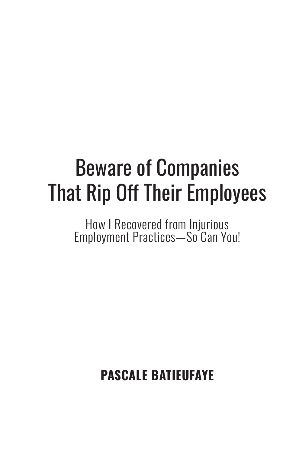# Beware of Companies That Rip Off Their Employees

How I Recovered from Injurious Employment Practices—So Can You!

**PASCALE BATIEUFAYE**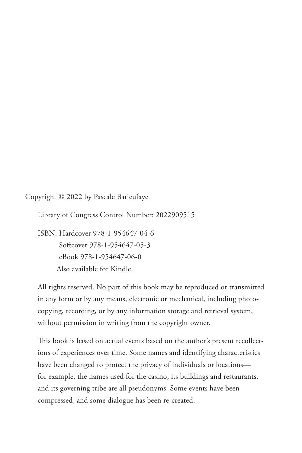Copyright © 2022 by Pascale Batieufaye

Library of Congress Control Number: 2022909515

ISBN: Hardcover 978-1-954647-04-6 Softcover 978-1-954647-05-3 eBook 978-1-954647-06-0 Also available for Kindle.

All rights reserved. No part of this book may be reproduced or transmitted in any form or by any means, electronic or mechanical, including photocopying, recording, or by any information storage and retrieval system, without permission in writing from the copyright owner.

This book is based on actual events based on the author's present recollections of experiences over time. Some names and identifying characteristics have been changed to protect the privacy of individuals or locations for example, the names used for the casino, its buildings and restaurants, and its governing tribe are all pseudonyms. Some events have been compressed, and some dialogue has been re-created.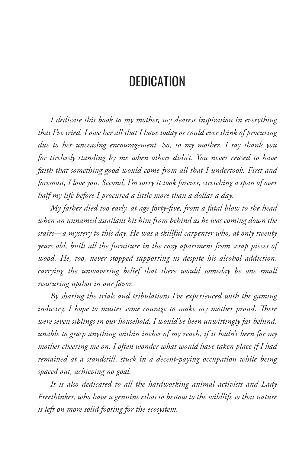# **DEDICATION**

*I dedicate this book to my mother, my dearest inspiration in everything that I've tried. I owe her all that I have today or could ever think of procuring due to her unceasing encouragement. So, to my mother, I say thank you for tirelessly standing by me when others didn't. You never ceased to have faith that something good would come from all that I undertook. First and foremost, I love you. Second, I'm sorry it took forever, stretching a span of over half my life before I procured a little more than a dollar a day.*

*My father died too early, at age forty-five, from a fatal blow to the head when an unnamed assailant hit him from behind as he was coming down the stairs—a mystery to this day. He was a skillful carpenter who, at only twenty years old, built all the furniture in the cozy apartment from scrap pieces of wood. He, too, never stopped supporting us despite his alcohol addiction, carrying the unwavering belief that there would someday be one small reassuring upshot in our favor.*

*By sharing the trials and tribulations I've experienced with the gaming industry, I hope to muster some courage to make my mother proud. There were seven siblings in our household. I would've been unwittingly far behind, unable to grasp anything within inches of my reach, if it hadn't been for my mother cheering me on. I often wonder what would have taken place if I had remained at a standstill, stuck in a decent-paying occupation while being spaced out, achieving no goal.*

*It is also dedicated to all the hardworking animal activists and Lady Freethinker, who have a genuine ethos to bestow to the wildlife so that nature is left on more solid footing for the ecosystem.*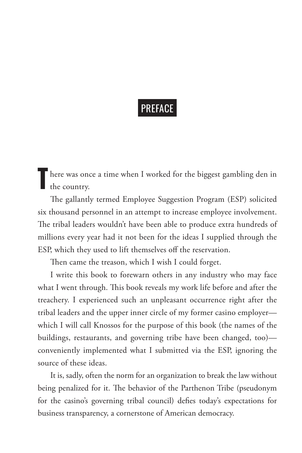# PREFACE

There was once a time when I worked for the biggest gambling den in the country.

The gallantly termed Employee Suggestion Program (ESP) solicited six thousand personnel in an attempt to increase employee involvement. The tribal leaders wouldn't have been able to produce extra hundreds of millions every year had it not been for the ideas I supplied through the ESP, which they used to lift themselves off the reservation.

Then came the treason, which I wish I could forget.

I write this book to forewarn others in any industry who may face what I went through. This book reveals my work life before and after the treachery. I experienced such an unpleasant occurrence right after the tribal leaders and the upper inner circle of my former casino employer which I will call Knossos for the purpose of this book (the names of the buildings, restaurants, and governing tribe have been changed, too) conveniently implemented what I submitted via the ESP, ignoring the source of these ideas.

It is, sadly, often the norm for an organization to break the law without being penalized for it. The behavior of the Parthenon Tribe (pseudonym for the casino's governing tribal council) defies today's expectations for business transparency, a cornerstone of American democracy.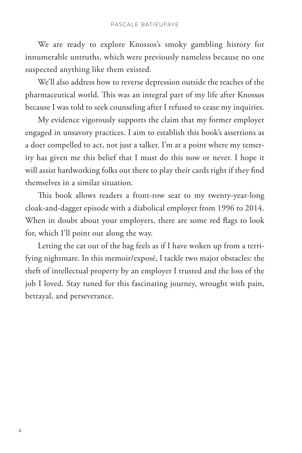We are ready to explore Knossos's smoky gambling history for innumerable untruths, which were previously nameless because no one suspected anything like them existed.

We'll also address how to reverse depression outside the reaches of the pharmaceutical world. This was an integral part of my life after Knossos because I was told to seek counseling after I refused to cease my inquiries.

My evidence vigorously supports the claim that my former employer engaged in unsavory practices. I aim to establish this book's assertions as a doer compelled to act, not just a talker. I'm at a point where my temerity has given me this belief that I must do this now or never. I hope it will assist hardworking folks out there to play their cards right if they find themselves in a similar situation.

This book allows readers a front-row seat to my twenty-year-long cloak-and-dagger episode with a diabolical employer from 1996 to 2014. When in doubt about your employers, there are some red flags to look for, which I'll point out along the way.

Letting the cat out of the bag feels as if I have woken up from a terrifying nightmare. In this memoir/exposé, I tackle two major obstacles: the theft of intellectual property by an employer I trusted and the loss of the job I loved. Stay tuned for this fascinating journey, wrought with pain, betrayal, and perseverance.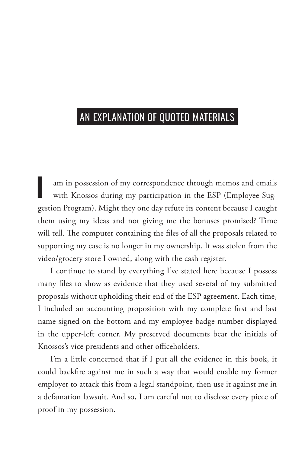## AN EXPLANATION OF QUOTED MATERIALS

I am in possession of my correspondence through memos and emails with Knossos during my participation in the ESP (Employee Suggestion Program). Might they one day refute its content because I caught them using my ideas and not giving me the bonuses promised? Time will tell. The computer containing the files of all the proposals related to supporting my case is no longer in my ownership. It was stolen from the video/grocery store I owned, along with the cash register.

I continue to stand by everything I've stated here because I possess many files to show as evidence that they used several of my submitted proposals without upholding their end of the ESP agreement. Each time, I included an accounting proposition with my complete first and last name signed on the bottom and my employee badge number displayed in the upper-left corner. My preserved documents bear the initials of Knossos's vice presidents and other officeholders.

I'm a little concerned that if I put all the evidence in this book, it could backfire against me in such a way that would enable my former employer to attack this from a legal standpoint, then use it against me in a defamation lawsuit. And so, I am careful not to disclose every piece of proof in my possession.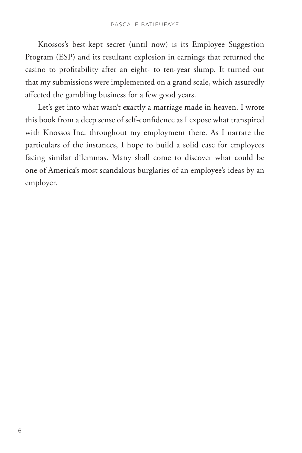Knossos's best-kept secret (until now) is its Employee Suggestion Program (ESP) and its resultant explosion in earnings that returned the casino to profitability after an eight- to ten-year slump. It turned out that my submissions were implemented on a grand scale, which assuredly affected the gambling business for a few good years.

Let's get into what wasn't exactly a marriage made in heaven. I wrote this book from a deep sense of self-confidence as I expose what transpired with Knossos Inc. throughout my employment there. As I narrate the particulars of the instances, I hope to build a solid case for employees facing similar dilemmas. Many shall come to discover what could be one of America's most scandalous burglaries of an employee's ideas by an employer.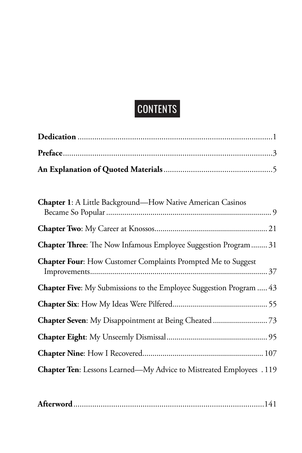# CONTENTS

| Chapter 1: A Little Background-How Native American Casinos                  |
|-----------------------------------------------------------------------------|
|                                                                             |
| Chapter Three: The Now Infamous Employee Suggestion Program 31              |
| <b>Chapter Four:</b> How Customer Complaints Prompted Me to Suggest         |
| <b>Chapter Five:</b> My Submissions to the Employee Suggestion Program  43  |
|                                                                             |
|                                                                             |
|                                                                             |
|                                                                             |
| <b>Chapter Ten:</b> Lessons Learned—My Advice to Mistreated Employees . 119 |

|--|--|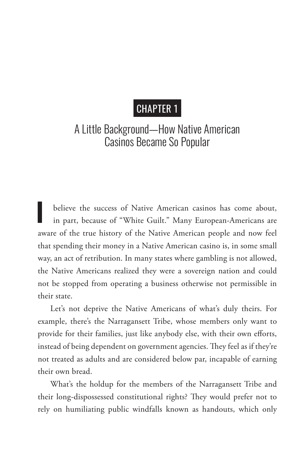### CHAPTER 1

#### A Little Background—How Native American Casinos Became So Popular

**I** believe the success of Native American casinos has come about, in part, because of "White Guilt." Many European-Americans are aware of the true history of the Native American people and now feel that spending their money in a Native American casino is, in some small way, an act of retribution. In many states where gambling is not allowed, the Native Americans realized they were a sovereign nation and could not be stopped from operating a business otherwise not permissible in their state.

Let's not deprive the Native Americans of what's duly theirs. For example, there's the Narragansett Tribe, whose members only want to provide for their families, just like anybody else, with their own efforts, instead of being dependent on government agencies. They feel as if they're not treated as adults and are considered below par, incapable of earning their own bread.

What's the holdup for the members of the Narragansett Tribe and their long-dispossessed constitutional rights? They would prefer not to rely on humiliating public windfalls known as handouts, which only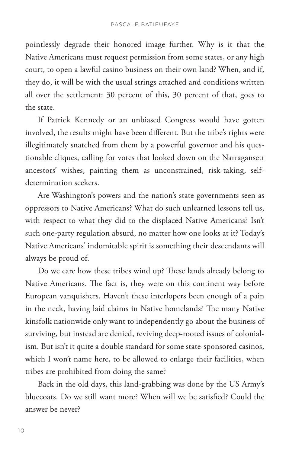pointlessly degrade their honored image further. Why is it that the Native Americans must request permission from some states, or any high court, to open a lawful casino business on their own land? When, and if, they do, it will be with the usual strings attached and conditions written all over the settlement: 30 percent of this, 30 percent of that, goes to the state.

If Patrick Kennedy or an unbiased Congress would have gotten involved, the results might have been different. But the tribe's rights were illegitimately snatched from them by a powerful governor and his questionable cliques, calling for votes that looked down on the Narragansett ancestors' wishes, painting them as unconstrained, risk-taking, selfdetermination seekers.

Are Washington's powers and the nation's state governments seen as oppressors to Native Americans? What do such unlearned lessons tell us, with respect to what they did to the displaced Native Americans? Isn't such one-party regulation absurd, no matter how one looks at it? Today's Native Americans' indomitable spirit is something their descendants will always be proud of.

Do we care how these tribes wind up? These lands already belong to Native Americans. The fact is, they were on this continent way before European vanquishers. Haven't these interlopers been enough of a pain in the neck, having laid claims in Native homelands? The many Native kinsfolk nationwide only want to independently go about the business of surviving, but instead are denied, reviving deep-rooted issues of colonialism. But isn't it quite a double standard for some state-sponsored casinos, which I won't name here, to be allowed to enlarge their facilities, when tribes are prohibited from doing the same?

Back in the old days, this land-grabbing was done by the US Army's bluecoats. Do we still want more? When will we be satisfied? Could the answer be never?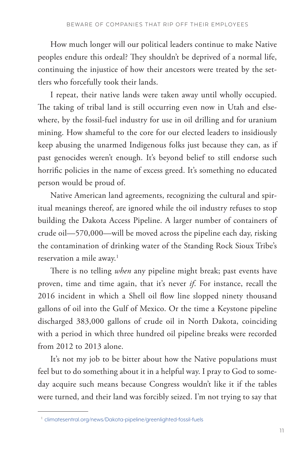How much longer will our political leaders continue to make Native peoples endure this ordeal? They shouldn't be deprived of a normal life, continuing the injustice of how their ancestors were treated by the settlers who forcefully took their lands.

I repeat, their native lands were taken away until wholly occupied. The taking of tribal land is still occurring even now in Utah and elsewhere, by the fossil-fuel industry for use in oil drilling and for uranium mining. How shameful to the core for our elected leaders to insidiously keep abusing the unarmed Indigenous folks just because they can, as if past genocides weren't enough. It's beyond belief to still endorse such horrific policies in the name of excess greed. It's something no educated person would be proud of.

Native American land agreements, recognizing the cultural and spiritual meanings thereof, are ignored while the oil industry refuses to stop building the Dakota Access Pipeline. A larger number of containers of crude oil—570,000—will be moved across the pipeline each day, risking the contamination of drinking water of the Standing Rock Sioux Tribe's reservation a mile away.<sup>1</sup>

There is no telling *when* any pipeline might break; past events have proven, time and time again, that it's never *if*. For instance, recall the 2016 incident in which a Shell oil flow line slopped ninety thousand gallons of oil into the Gulf of Mexico. Or the time a Keystone pipeline discharged 383,000 gallons of crude oil in North Dakota, coinciding with a period in which three hundred oil pipeline breaks were recorded from 2012 to 2013 alone.

It's not my job to be bitter about how the Native populations must feel but to do something about it in a helpful way. I pray to God to someday acquire such means because Congress wouldn't like it if the tables were turned, and their land was forcibly seized. I'm not trying to say that

<sup>&</sup>lt;sup>1</sup> climatesentral.org/news/Dakota-pipeline/greenlighted-fossil-fuels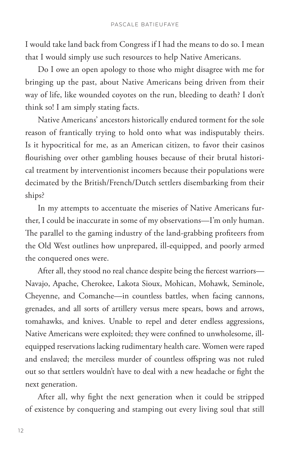I would take land back from Congress if I had the means to do so. I mean that I would simply use such resources to help Native Americans.

Do I owe an open apology to those who might disagree with me for bringing up the past, about Native Americans being driven from their way of life, like wounded coyotes on the run, bleeding to death? I don't think so! I am simply stating facts.

Native Americans' ancestors historically endured torment for the sole reason of frantically trying to hold onto what was indisputably theirs. Is it hypocritical for me, as an American citizen, to favor their casinos flourishing over other gambling houses because of their brutal historical treatment by interventionist incomers because their populations were decimated by the British/French/Dutch settlers disembarking from their ships?

In my attempts to accentuate the miseries of Native Americans further, I could be inaccurate in some of my observations—I'm only human. The parallel to the gaming industry of the land-grabbing profiteers from the Old West outlines how unprepared, ill-equipped, and poorly armed the conquered ones were.

After all, they stood no real chance despite being the fiercest warriors— Navajo, Apache, Cherokee, Lakota Sioux, Mohican, Mohawk, Seminole, Cheyenne, and Comanche—in countless battles, when facing cannons, grenades, and all sorts of artillery versus mere spears, bows and arrows, tomahawks, and knives. Unable to repel and deter endless aggressions, Native Americans were exploited; they were confined to unwholesome, illequipped reservations lacking rudimentary health care. Women were raped and enslaved; the merciless murder of countless offspring was not ruled out so that settlers wouldn't have to deal with a new headache or fight the next generation.

After all, why fight the next generation when it could be stripped of existence by conquering and stamping out every living soul that still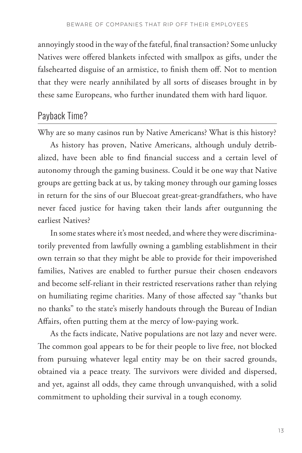annoyingly stood in the way of the fateful, final transaction? Some unlucky Natives were offered blankets infected with smallpox as gifts, under the falsehearted disguise of an armistice, to finish them off. Not to mention that they were nearly annihilated by all sorts of diseases brought in by these same Europeans, who further inundated them with hard liquor.

#### Payback Time?

Why are so many casinos run by Native Americans? What is this history?

As history has proven, Native Americans, although unduly detribalized, have been able to find financial success and a certain level of autonomy through the gaming business. Could it be one way that Native groups are getting back at us, by taking money through our gaming losses in return for the sins of our Bluecoat great-great-grandfathers, who have never faced justice for having taken their lands after outgunning the earliest Natives?

In some states where it's most needed, and where they were discriminatorily prevented from lawfully owning a gambling establishment in their own terrain so that they might be able to provide for their impoverished families, Natives are enabled to further pursue their chosen endeavors and become self-reliant in their restricted reservations rather than relying on humiliating regime charities. Many of those affected say "thanks but no thanks" to the state's miserly handouts through the Bureau of Indian Affairs, often putting them at the mercy of low-paying work.

As the facts indicate, Native populations are not lazy and never were. The common goal appears to be for their people to live free, not blocked from pursuing whatever legal entity may be on their sacred grounds, obtained via a peace treaty. The survivors were divided and dispersed, and yet, against all odds, they came through unvanquished, with a solid commitment to upholding their survival in a tough economy.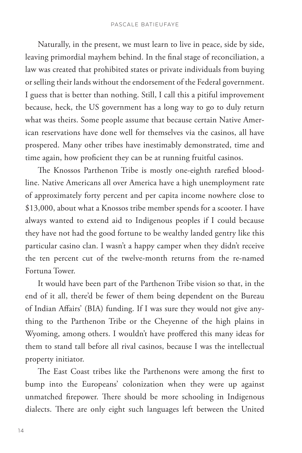Naturally, in the present, we must learn to live in peace, side by side, leaving primordial mayhem behind. In the final stage of reconciliation, a law was created that prohibited states or private individuals from buying or selling their lands without the endorsement of the Federal government. I guess that is better than nothing. Still, I call this a pitiful improvement because, heck, the US government has a long way to go to duly return what was theirs. Some people assume that because certain Native American reservations have done well for themselves via the casinos, all have prospered. Many other tribes have inestimably demonstrated, time and time again, how proficient they can be at running fruitful casinos.

The Knossos Parthenon Tribe is mostly one-eighth rarefied bloodline. Native Americans all over America have a high unemployment rate of approximately forty percent and per capita income nowhere close to \$13,000, about what a Knossos tribe member spends for a scooter. I have always wanted to extend aid to Indigenous peoples if I could because they have not had the good fortune to be wealthy landed gentry like this particular casino clan. I wasn't a happy camper when they didn't receive the ten percent cut of the twelve-month returns from the re-named Fortuna Tower.

It would have been part of the Parthenon Tribe vision so that, in the end of it all, there'd be fewer of them being dependent on the Bureau of Indian Affairs' (BIA) funding. If I was sure they would not give anything to the Parthenon Tribe or the Cheyenne of the high plains in Wyoming, among others. I wouldn't have proffered this many ideas for them to stand tall before all rival casinos, because I was the intellectual property initiator.

The East Coast tribes like the Parthenons were among the first to bump into the Europeans' colonization when they were up against unmatched firepower. There should be more schooling in Indigenous dialects. There are only eight such languages left between the United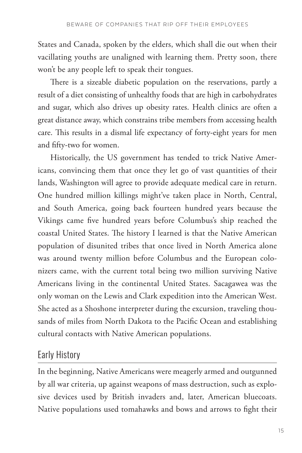States and Canada, spoken by the elders, which shall die out when their vacillating youths are unaligned with learning them. Pretty soon, there won't be any people left to speak their tongues.

There is a sizeable diabetic population on the reservations, partly a result of a diet consisting of unhealthy foods that are high in carbohydrates and sugar, which also drives up obesity rates. Health clinics are often a great distance away, which constrains tribe members from accessing health care. This results in a dismal life expectancy of forty-eight years for men and fifty-two for women.

Historically, the US government has tended to trick Native Americans, convincing them that once they let go of vast quantities of their lands, Washington will agree to provide adequate medical care in return. One hundred million killings might've taken place in North, Central, and South America, going back fourteen hundred years because the Vikings came five hundred years before Columbus's ship reached the coastal United States. The history I learned is that the Native American population of disunited tribes that once lived in North America alone was around twenty million before Columbus and the European colonizers came, with the current total being two million surviving Native Americans living in the continental United States. Sacagawea was the only woman on the Lewis and Clark expedition into the American West. She acted as a Shoshone interpreter during the excursion, traveling thousands of miles from North Dakota to the Pacific Ocean and establishing cultural contacts with Native American populations.

#### Early History

In the beginning, Native Americans were meagerly armed and outgunned by all war criteria, up against weapons of mass destruction, such as explosive devices used by British invaders and, later, American bluecoats. Native populations used tomahawks and bows and arrows to fight their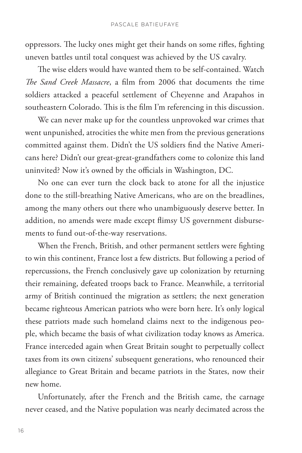oppressors. The lucky ones might get their hands on some rifles, fighting uneven battles until total conquest was achieved by the US cavalry.

The wise elders would have wanted them to be self-contained. Watch *The Sand Creek Massacre*, a film from 2006 that documents the time soldiers attacked a peaceful settlement of Cheyenne and Arapahos in southeastern Colorado. This is the film I'm referencing in this discussion.

We can never make up for the countless unprovoked war crimes that went unpunished, atrocities the white men from the previous generations committed against them. Didn't the US soldiers find the Native Americans here? Didn't our great-great-grandfathers come to colonize this land uninvited? Now it's owned by the officials in Washington, DC.

No one can ever turn the clock back to atone for all the injustice done to the still-breathing Native Americans, who are on the breadlines, among the many others out there who unambiguously deserve better. In addition, no amends were made except flimsy US government disbursements to fund out-of-the-way reservations.

When the French, British, and other permanent settlers were fighting to win this continent, France lost a few districts. But following a period of repercussions, the French conclusively gave up colonization by returning their remaining, defeated troops back to France. Meanwhile, a territorial army of British continued the migration as settlers; the next generation became righteous American patriots who were born here. It's only logical these patriots made such homeland claims next to the indigenous people, which became the basis of what civilization today knows as America. France interceded again when Great Britain sought to perpetually collect taxes from its own citizens' subsequent generations, who renounced their allegiance to Great Britain and became patriots in the States, now their new home.

Unfortunately, after the French and the British came, the carnage never ceased, and the Native population was nearly decimated across the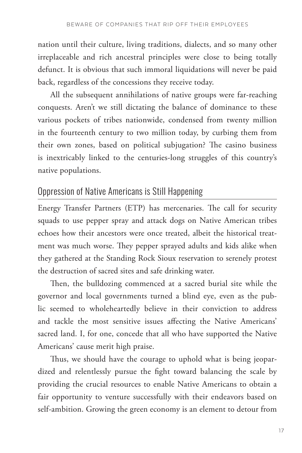nation until their culture, living traditions, dialects, and so many other irreplaceable and rich ancestral principles were close to being totally defunct. It is obvious that such immoral liquidations will never be paid back, regardless of the concessions they receive today.

All the subsequent annihilations of native groups were far-reaching conquests. Aren't we still dictating the balance of dominance to these various pockets of tribes nationwide, condensed from twenty million in the fourteenth century to two million today, by curbing them from their own zones, based on political subjugation? The casino business is inextricably linked to the centuries-long struggles of this country's native populations.

#### Oppression of Native Americans is Still Happening

Energy Transfer Partners (ETP) has mercenaries. The call for security squads to use pepper spray and attack dogs on Native American tribes echoes how their ancestors were once treated, albeit the historical treatment was much worse. They pepper sprayed adults and kids alike when they gathered at the Standing Rock Sioux reservation to serenely protest the destruction of sacred sites and safe drinking water.

Then, the bulldozing commenced at a sacred burial site while the governor and local governments turned a blind eye, even as the public seemed to wholeheartedly believe in their conviction to address and tackle the most sensitive issues affecting the Native Americans' sacred land. I, for one, concede that all who have supported the Native Americans' cause merit high praise.

Thus, we should have the courage to uphold what is being jeopardized and relentlessly pursue the fight toward balancing the scale by providing the crucial resources to enable Native Americans to obtain a fair opportunity to venture successfully with their endeavors based on self-ambition. Growing the green economy is an element to detour from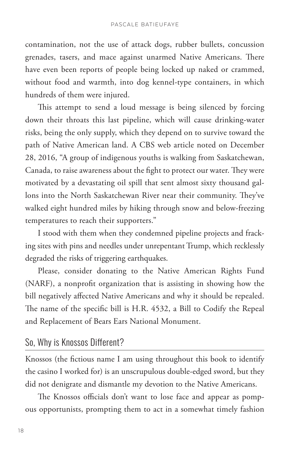contamination, not the use of attack dogs, rubber bullets, concussion grenades, tasers, and mace against unarmed Native Americans. There have even been reports of people being locked up naked or crammed, without food and warmth, into dog kennel-type containers, in which hundreds of them were injured.

This attempt to send a loud message is being silenced by forcing down their throats this last pipeline, which will cause drinking-water risks, being the only supply, which they depend on to survive toward the path of Native American land. A CBS web article noted on December 28, 2016, "A group of indigenous youths is walking from Saskatchewan, Canada, to raise awareness about the fight to protect our water. They were motivated by a devastating oil spill that sent almost sixty thousand gallons into the North Saskatchewan River near their community. They've walked eight hundred miles by hiking through snow and below-freezing temperatures to reach their supporters."

I stood with them when they condemned pipeline projects and fracking sites with pins and needles under unrepentant Trump, which recklessly degraded the risks of triggering earthquakes.

Please, consider donating to the Native American Rights Fund (NARF), a nonprofit organization that is assisting in showing how the bill negatively affected Native Americans and why it should be repealed. The name of the specific bill is H.R. 4532, a Bill to Codify the Repeal and Replacement of Bears Ears National Monument.

#### So, Why is Knossos Different?

Knossos (the fictious name I am using throughout this book to identify the casino I worked for) is an unscrupulous double-edged sword, but they did not denigrate and dismantle my devotion to the Native Americans.

The Knossos officials don't want to lose face and appear as pompous opportunists, prompting them to act in a somewhat timely fashion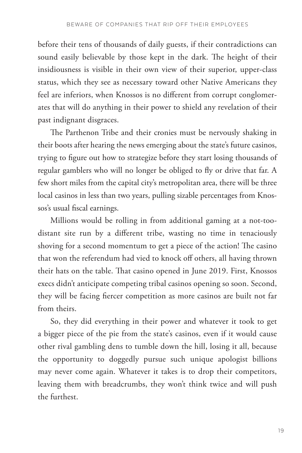before their tens of thousands of daily guests, if their contradictions can sound easily believable by those kept in the dark. The height of their insidiousness is visible in their own view of their superior, upper-class status, which they see as necessary toward other Native Americans they feel are inferiors, when Knossos is no different from corrupt conglomerates that will do anything in their power to shield any revelation of their past indignant disgraces.

The Parthenon Tribe and their cronies must be nervously shaking in their boots after hearing the news emerging about the state's future casinos, trying to figure out how to strategize before they start losing thousands of regular gamblers who will no longer be obliged to fly or drive that far. A few short miles from the capital city's metropolitan area, there will be three local casinos in less than two years, pulling sizable percentages from Knossos's usual fiscal earnings.

Millions would be rolling in from additional gaming at a not-toodistant site run by a different tribe, wasting no time in tenaciously shoving for a second momentum to get a piece of the action! The casino that won the referendum had vied to knock off others, all having thrown their hats on the table. That casino opened in June 2019. First, Knossos execs didn't anticipate competing tribal casinos opening so soon. Second, they will be facing fiercer competition as more casinos are built not far from theirs.

So, they did everything in their power and whatever it took to get a bigger piece of the pie from the state's casinos, even if it would cause other rival gambling dens to tumble down the hill, losing it all, because the opportunity to doggedly pursue such unique apologist billions may never come again. Whatever it takes is to drop their competitors, leaving them with breadcrumbs, they won't think twice and will push the furthest.